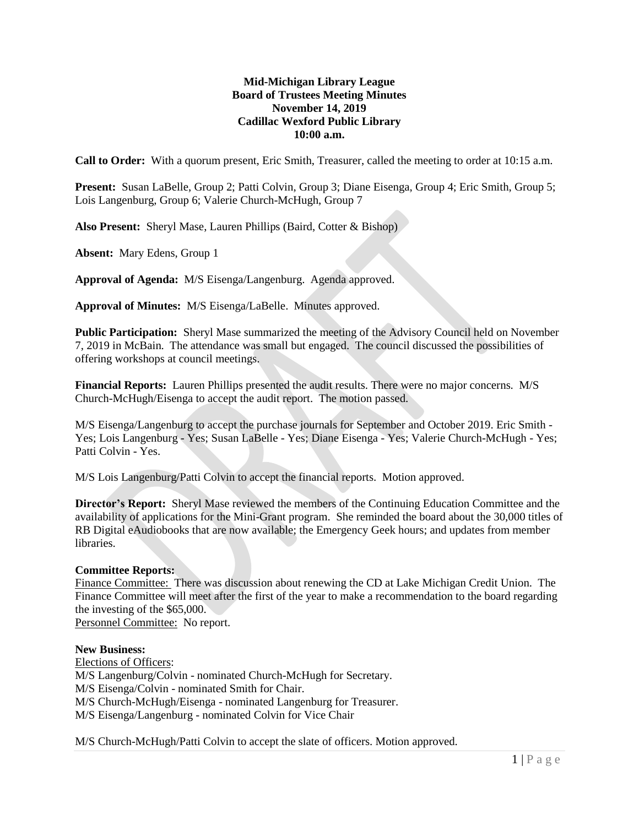# **Mid-Michigan Library League Board of Trustees Meeting Minutes November 14, 2019 Cadillac Wexford Public Library 10:00 a.m.**

**Call to Order:** With a quorum present, Eric Smith, Treasurer, called the meeting to order at 10:15 a.m.

**Present:** Susan LaBelle, Group 2; Patti Colvin, Group 3; Diane Eisenga, Group 4; Eric Smith, Group 5; Lois Langenburg, Group 6; Valerie Church-McHugh, Group 7

**Also Present:** Sheryl Mase, Lauren Phillips (Baird, Cotter & Bishop)

**Absent:** Mary Edens, Group 1

**Approval of Agenda:** M/S Eisenga/Langenburg. Agenda approved.

**Approval of Minutes:** M/S Eisenga/LaBelle. Minutes approved.

**Public Participation:** Sheryl Mase summarized the meeting of the Advisory Council held on November 7, 2019 in McBain. The attendance was small but engaged. The council discussed the possibilities of offering workshops at council meetings.

**Financial Reports:** Lauren Phillips presented the audit results. There were no major concerns. M/S Church-McHugh/Eisenga to accept the audit report. The motion passed.

M/S Eisenga/Langenburg to accept the purchase journals for September and October 2019. Eric Smith - Yes; Lois Langenburg - Yes; Susan LaBelle - Yes; Diane Eisenga - Yes; Valerie Church-McHugh - Yes; Patti Colvin - Yes.

M/S Lois Langenburg/Patti Colvin to accept the financial reports. Motion approved.

**Director's Report:** Sheryl Mase reviewed the members of the Continuing Education Committee and the availability of applications for the Mini-Grant program. She reminded the board about the 30,000 titles of RB Digital eAudiobooks that are now available; the Emergency Geek hours; and updates from member libraries.

# **Committee Reports:**

Finance Committee: There was discussion about renewing the CD at Lake Michigan Credit Union. The Finance Committee will meet after the first of the year to make a recommendation to the board regarding the investing of the \$65,000.

Personnel Committee: No report.

# **New Business:**

Elections of Officers: M/S Langenburg/Colvin - nominated Church-McHugh for Secretary. M/S Eisenga/Colvin - nominated Smith for Chair. M/S Church-McHugh/Eisenga - nominated Langenburg for Treasurer. M/S Eisenga/Langenburg - nominated Colvin for Vice Chair

M/S Church-McHugh/Patti Colvin to accept the slate of officers. Motion approved.